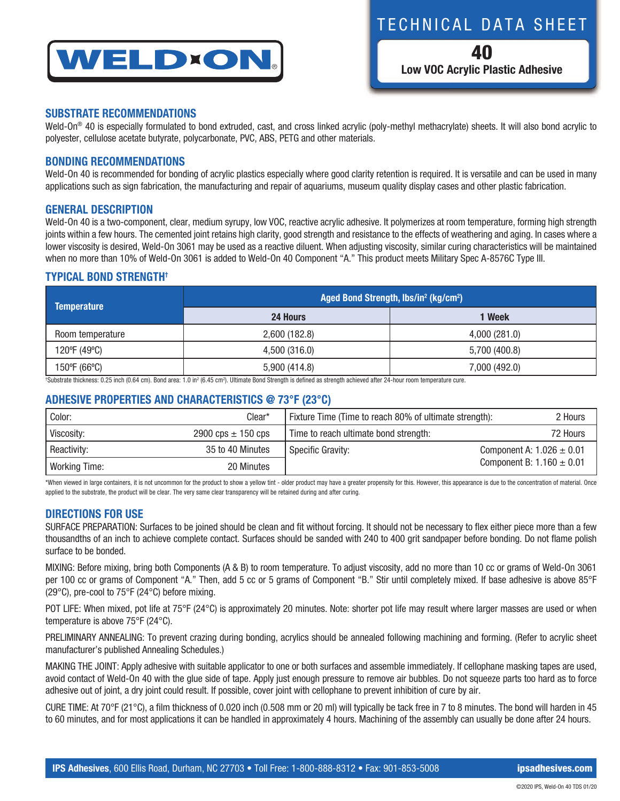



40 **Low VOC Acrylic Plastic Adhesive**

### **SUBSTRATE RECOMMENDATIONS**

Weld-On<sup>®</sup> 40 is especially formulated to bond extruded, cast, and cross linked acrylic (poly-methyl methacrylate) sheets. It will also bond acrylic to polyester, cellulose acetate butyrate, polycarbonate, PVC, ABS, PETG and other materials.

#### **BONDING RECOMMENDATIONS**

Weld-On 40 is recommended for bonding of acrylic plastics especially where good clarity retention is required. It is versatile and can be used in many applications such as sign fabrication, the manufacturing and repair of aquariums, museum quality display cases and other plastic fabrication.

#### **GENERAL DESCRIPTION**

Weld-On 40 is a two-component, clear, medium syrupy, low VOC, reactive acrylic adhesive. It polymerizes at room temperature, forming high strength joints within a few hours. The cemented joint retains high clarity, good strength and resistance to the effects of weathering and aging. In cases where a lower viscosity is desired, Weld-On 3061 may be used as a reactive diluent. When adjusting viscosity, similar curing characteristics will be maintained when no more than 10% of Weld-On 3061 is added to Weld-On 40 Component "A." This product meets Military Spec A-8576C Type III.

### **TYPICAL BOND STRENGTH†**

| <b>Temperature</b> | Aged Bond Strength, Ibs/in <sup>2</sup> (kg/cm <sup>2</sup> ) |               |  |
|--------------------|---------------------------------------------------------------|---------------|--|
|                    | 24 Hours                                                      | 1 Week        |  |
| Room temperature   | 2,600(182.8)                                                  | 4,000(281.0)  |  |
| 120ºF (49ºC)       | 4,500 (316.0)                                                 | 5,700 (400.8) |  |
| 150°F (66°C)       | 5,900 (414.8)                                                 | 7,000 (492.0) |  |

tSubstrate thickness: 0.25 inch (0.64 cm). Bond area: 1.0 in² (6.45 cm²). Ultimate Bond Strength is defined as strength achieved after 24-hour room temperature cure.

### **ADHESIVE PROPERTIES AND CHARACTERISTICS @ 73°F (23°C)**

| Color:               | Clear*                 | Fixture Time (Time to reach 80% of ultimate strength): | 2 Hours                       |
|----------------------|------------------------|--------------------------------------------------------|-------------------------------|
| Viscosity:           | 2900 cps $\pm$ 150 cps | Time to reach ultimate bond strength:                  | 72 Hours                      |
| Reactivity:          | 35 to 40 Minutes       | Specific Gravity:                                      | Component A: $1.026 \pm 0.01$ |
| <b>Working Time:</b> | 20 Minutes             |                                                        | Component B: $1.160 \pm 0.01$ |

\*When viewed in large containers, it is not uncommon for the product to show a yellow tint - older product may have a greater propensity for this. However, this appearance is due to the concentration of material. Once applied to the substrate, the product will be clear. The very same clear transparency will be retained during and after curing.

### **DIRECTIONS FOR USE**

SURFACE PREPARATION: Surfaces to be joined should be clean and fit without forcing. It should not be necessary to flex either piece more than a few thousandths of an inch to achieve complete contact. Surfaces should be sanded with 240 to 400 grit sandpaper before bonding. Do not flame polish surface to be bonded.

MIXING: Before mixing, bring both Components (A & B) to room temperature. To adjust viscosity, add no more than 10 cc or grams of Weld-On 3061 per 100 cc or grams of Component "A." Then, add 5 cc or 5 grams of Component "B." Stir until completely mixed. If base adhesive is above 85°F (29°C), pre-cool to 75°F (24°C) before mixing.

POT LIFE: When mixed, pot life at 75°F (24°C) is approximately 20 minutes. Note: shorter pot life may result where larger masses are used or when temperature is above 75°F (24°C).

PRELIMINARY ANNEALING: To prevent crazing during bonding, acrylics should be annealed following machining and forming. (Refer to acrylic sheet manufacturer's published Annealing Schedules.)

MAKING THE JOINT: Apply adhesive with suitable applicator to one or both surfaces and assemble immediately. If cellophane masking tapes are used, avoid contact of Weld-On 40 with the glue side of tape. Apply just enough pressure to remove air bubbles. Do not squeeze parts too hard as to force adhesive out of joint, a dry joint could result. If possible, cover joint with cellophane to prevent inhibition of cure by air.

CURE TIME: At 70 $\degree$ F (21 $\degree$ C), a film thickness of 0.020 inch (0.508 mm or 20 ml) will typically be tack free in 7 to 8 minutes. The bond will harden in 45 to 60 minutes, and for most applications it can be handled in approximately 4 hours. Machining of the assembly can usually be done after 24 hours.